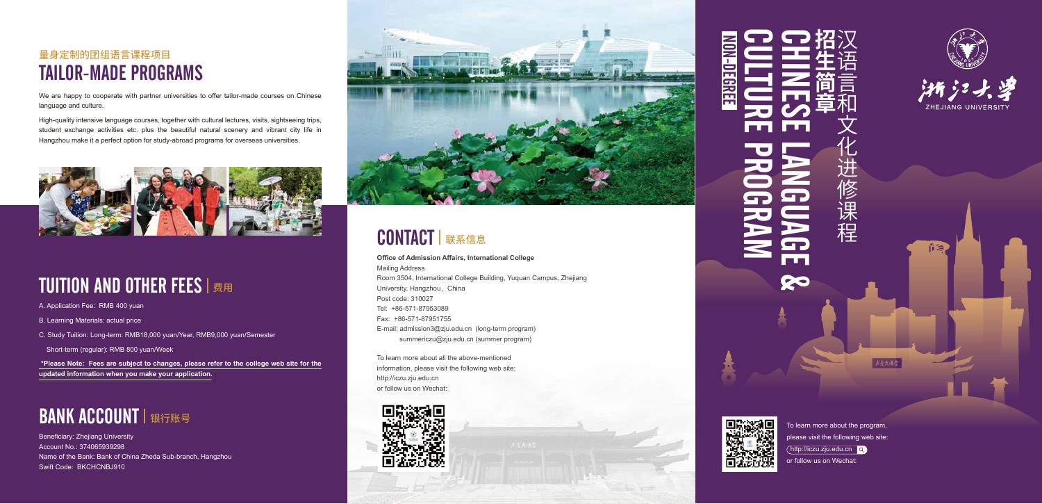A. Application Fee: RMB 400 yuan

B. Learning Materials: actual price

C. Study Tuition: Long-term: RMB18,000 yuan/Year, RMB9,000 yuan/Semester

Short-term (regular): RMB 800 yuan/Week

 **\*Please Note: Fees are subject to changes, please refer to the college web site for the updated information when you make your application.** 

## **BANK ACCOUNT | 银行账号**

# NON-DEGREE NON-DEGREE

**Office of Admission Affairs, International College** Mailing Address Room 3504, International College Building, Yuquan Campus, Zhejiang University, Hangzhou ,China Post code: 310027 Tel: +86-571-87953089 Fax: +86-571-87951755 E-mail: admission3@zju.edu.cn (long-term program) summericzu@zju.edu.cn (summer program)

To learn more about all the above-mentioned information, please visit the following web site: http://iczu.zju.edu.cn or follow us on Wechat:











ñ≋



术导大绿管

We are happy to cooperate with partner universities to offer tailor-made courses on Chinese language and culture.

## 量身定制的团组语言课程项目 TAILOR-MADE PROGRAMS

High-quality intensive language courses, together with cultural lectures, visits, sightseeing trips, student exchange activities etc. plus the beautiful natural scenery and vibrant city life in Hangzhou make it a perfect option for study-abroad programs for overseas universities.



# TUITION AND OTHER FEES | 费用

Beneficiary: Zhejiang University Account No.: 374065939298 Name of the Bank: Bank of China Zheda Sub-branch, Hangzhou Swift Code: BKCHCNBJ910



# **CONTACT | 联系信息**